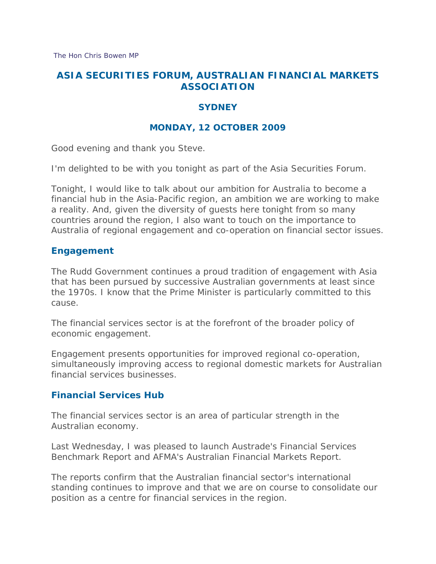[The Hon Chris Bowen MP](http://ministers.treasury.gov.au/Main.aspx?PageID=089&min=ceba)

# **ASIA SECURITIES FORUM, AUSTRALIAN FINANCIAL MARKETS ASSOCIATION**

### **SYDNEY**

### **MONDAY, 12 OCTOBER 2009**

Good evening and thank you Steve.

I'm delighted to be with you tonight as part of the Asia Securities Forum.

Tonight, I would like to talk about our ambition for Australia to become a financial hub in the Asia-Pacific region, an ambition we are working to make a reality. And, given the diversity of guests here tonight from so many countries around the region, I also want to touch on the importance to Australia of regional engagement and co-operation on financial sector issues.

#### **Engagement**

The Rudd Government continues a proud tradition of engagement with Asia that has been pursued by successive Australian governments at least since the 1970s. I know that the Prime Minister is particularly committed to this cause.

The financial services sector is at the forefront of the broader policy of economic engagement.

Engagement presents opportunities for improved regional co-operation, simultaneously improving access to regional domestic markets for Australian financial services businesses.

#### **Financial Services Hub**

The financial services sector is an area of particular strength in the Australian economy.

Last Wednesday, I was pleased to launch Austrade's Financial Services Benchmark Report and AFMA's Australian Financial Markets Report.

The reports confirm that the Australian financial sector's international standing continues to improve and that we are on course to consolidate our position as a centre for financial services in the region.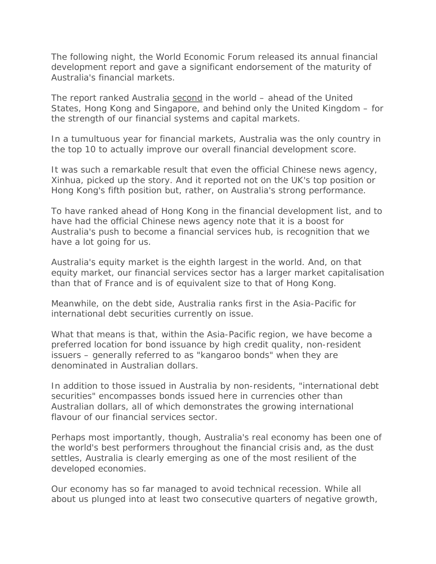The following night, the World Economic Forum released its annual financial development report and gave a significant endorsement of the maturity of Australia's financial markets.

The report ranked Australia second in the world – ahead of the United States, Hong Kong and Singapore, and behind only the United Kingdom – for the strength of our financial systems and capital markets.

In a tumultuous year for financial markets, Australia was the only country in the top 10 to actually *improve* our overall financial development score.

It was such a remarkable result that even the official Chinese news agency, Xinhua, picked up the story. And it reported not on the UK's top position or Hong Kong's fifth position but, rather, on Australia's strong performance.

To have ranked ahead of Hong Kong in the financial development list, and to have had the official Chinese news agency note that it is a boost for Australia's push to become a financial services hub, is recognition that we have a lot going for us.

Australia's equity market is the eighth largest in the world. And, on that equity market, our financial services sector has a larger market capitalisation than that of France and is of equivalent size to that of Hong Kong.

Meanwhile, on the debt side, Australia ranks first in the Asia-Pacific for international debt securities currently on issue.

What that means is that, within the Asia-Pacific region, we have become a preferred location for bond issuance by high credit quality, non-resident issuers – generally referred to as "kangaroo bonds" when they are denominated in Australian dollars.

In addition to those issued in Australia by non-residents, "international debt securities" encompasses bonds issued here in currencies other than Australian dollars, all of which demonstrates the growing international flavour of our financial services sector.

Perhaps most importantly, though, Australia's real economy has been one of the world's best performers throughout the financial crisis and, as the dust settles, Australia is clearly emerging as one of the most resilient of the developed economies.

Our economy has so far managed to avoid technical recession. While all about us plunged into at least two consecutive quarters of negative growth,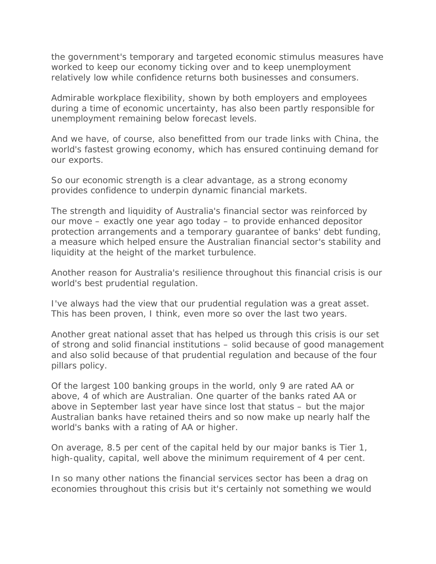the government's temporary and targeted economic stimulus measures have worked to keep our economy ticking over and to keep unemployment relatively low while confidence returns both businesses and consumers.

Admirable workplace flexibility, shown by both employers and employees during a time of economic uncertainty, has also been partly responsible for unemployment remaining below forecast levels.

And we have, of course, also benefitted from our trade links with China, the world's fastest growing economy, which has ensured continuing demand for our exports.

So our economic strength is a clear advantage, as a strong economy provides confidence to underpin dynamic financial markets.

The strength and liquidity of Australia's financial sector was reinforced by our move – exactly one year ago today – to provide enhanced depositor protection arrangements and a temporary guarantee of banks' debt funding, a measure which helped ensure the Australian financial sector's stability and liquidity at the height of the market turbulence.

Another reason for Australia's resilience throughout this financial crisis is our world's best prudential regulation.

I've always had the view that our prudential regulation was a great asset. This has been proven, I think, even more so over the last two years.

Another great national asset that has helped us through this crisis is our set of strong and solid financial institutions – solid because of good management and also solid because of that prudential regulation and because of the four pillars policy.

Of the largest 100 banking groups in the world, only 9 are rated AA or above, 4 of which are Australian. One quarter of the banks rated AA or above in September last year have since lost that status – but the major Australian banks have retained theirs and so now make up nearly half the world's banks with a rating of AA or higher.

On average, 8.5 per cent of the capital held by our major banks is Tier 1, high-quality, capital, well above the minimum requirement of 4 per cent.

In so many other nations the financial services sector has been a drag on economies throughout this crisis but it's certainly not something we would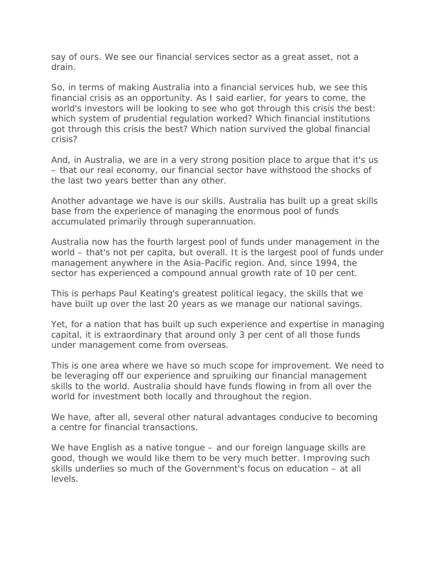say of ours. We see our financial services sector as a great asset, not a drain.

So, in terms of making Australia into a financial services hub, we see this financial crisis as an opportunity. As I said earlier, for years to come, the world's investors will be looking to see who got through this crisis the best: which system of prudential regulation worked? Which financial institutions got through this crisis the best? Which nation survived the global financial crisis?

And, in Australia, we are in a very strong position place to argue that it's us – that our real economy, our financial sector have withstood the shocks of the last two years better than any other.

Another advantage we have is our skills. Australia has built up a great skills base from the experience of managing the enormous pool of funds accumulated primarily through superannuation.

Australia now has the fourth largest pool of funds under management in the world – that's not per capita, but overall. It is the largest pool of funds under management anywhere in the Asia-Pacific region. And, since 1994, the sector has experienced a compound annual growth rate of 10 per cent.

This is perhaps Paul Keating's greatest political legacy, the skills that we have built up over the last 20 years as we manage our national savings.

Yet, for a nation that has built up such experience and expertise in managing capital, it is extraordinary that around only 3 per cent of all those funds under management come from overseas.

This is one area where we have so much scope for improvement. We need to be leveraging off our experience and spruiking our financial management skills to the world. Australia should have funds flowing in from all over the world for investment both locally and throughout the region.

We have, after all, several other natural advantages conducive to becoming a centre for financial transactions.

We have English as a native tongue – and our foreign language skills are good, though we would like them to be very much better. Improving such skills underlies so much of the Government's focus on education – at all levels.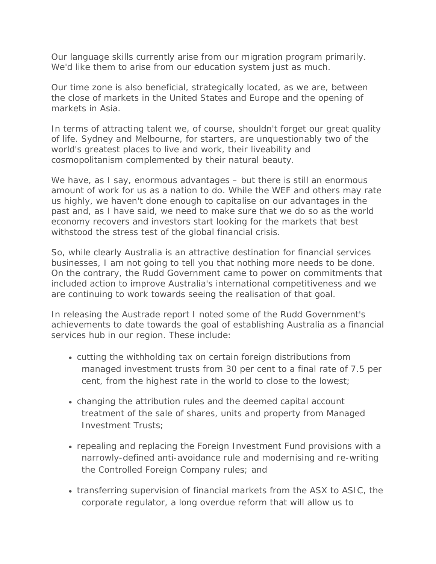Our language skills currently arise from our migration program primarily. We'd like them to arise from our education system just as much.

Our time zone is also beneficial, strategically located, as we are, between the close of markets in the United States and Europe and the opening of markets in Asia.

In terms of attracting talent we, of course, shouldn't forget our great quality of life. Sydney and Melbourne, for starters, are unquestionably two of the world's greatest places to live and work, their liveability and cosmopolitanism complemented by their natural beauty.

We have, as I say, enormous advantages – but there is still an enormous amount of work for us as a nation to do. While the WEF and others may rate us highly, we haven't done enough to capitalise on our advantages in the past and, as I have said, we need to make sure that we do so as the world economy recovers and investors start looking for the markets that best withstood the stress test of the global financial crisis.

So, while clearly Australia is an attractive destination for financial services businesses, I am not going to tell you that nothing more needs to be done. On the contrary, the Rudd Government came to power on commitments that included action to improve Australia's international competitiveness and we are continuing to work towards seeing the realisation of that goal.

In releasing the Austrade report I noted some of the Rudd Government's achievements to date towards the goal of establishing Australia as a financial services hub in our region. These include:

- cutting the withholding tax on certain foreign distributions from managed investment trusts from 30 per cent to a final rate of 7.5 per cent, from the highest rate in the world to close to the lowest;
- changing the attribution rules and the deemed capital account treatment of the sale of shares, units and property from Managed Investment Trusts;
- repealing and replacing the Foreign Investment Fund provisions with a narrowly-defined anti-avoidance rule and modernising and re-writing the Controlled Foreign Company rules; and
- transferring supervision of financial markets from the ASX to ASIC, the corporate regulator, a long overdue reform that will allow us to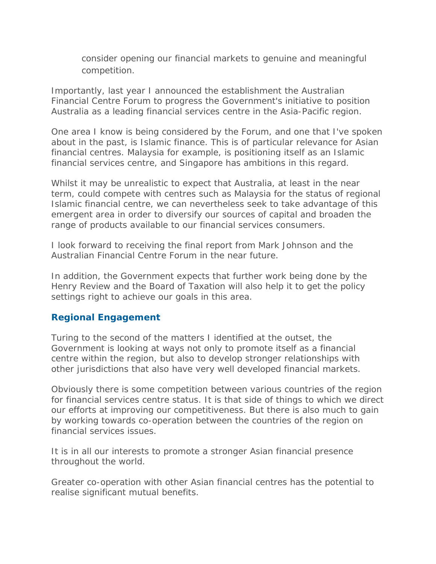consider opening our financial markets to genuine and meaningful competition.

Importantly, last year I announced the establishment the Australian Financial Centre Forum to progress the Government's initiative to position Australia as a leading financial services centre in the Asia-Pacific region.

One area I know is being considered by the Forum, and one that I've spoken about in the past, is Islamic finance. This is of particular relevance for Asian financial centres. Malaysia for example, is positioning itself as an Islamic financial services centre, and Singapore has ambitions in this regard.

Whilst it may be unrealistic to expect that Australia, at least in the near term, could compete with centres such as Malaysia for the status of regional Islamic financial centre, we can nevertheless seek to take advantage of this emergent area in order to diversify our sources of capital and broaden the range of products available to our financial services consumers.

I look forward to receiving the final report from Mark Johnson and the Australian Financial Centre Forum in the near future.

In addition, the Government expects that further work being done by the Henry Review and the Board of Taxation will also help it to get the policy settings right to achieve our goals in this area.

## **Regional Engagement**

Turing to the second of the matters I identified at the outset, the Government is looking at ways not only to promote itself as a financial centre within the region, but also to develop stronger relationships with other jurisdictions that also have very well developed financial markets.

Obviously there is some competition between various countries of the region for financial services centre status. It is that side of things to which we direct our efforts at improving our competitiveness. But there is also much to gain by working towards co-operation between the countries of the region on financial services issues.

It is in all our interests to promote a stronger Asian financial presence throughout the world.

Greater co-operation with other Asian financial centres has the potential to realise significant mutual benefits.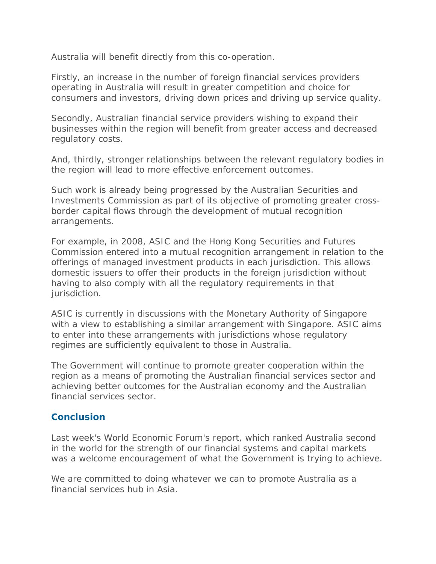Australia will benefit directly from this co-operation.

Firstly, an increase in the number of foreign financial services providers operating in Australia will result in greater competition and choice for consumers and investors, driving down prices and driving up service quality.

Secondly, Australian financial service providers wishing to expand their businesses within the region will benefit from greater access and decreased regulatory costs.

And, thirdly, stronger relationships between the relevant regulatory bodies in the region will lead to more effective enforcement outcomes.

Such work is already being progressed by the Australian Securities and Investments Commission as part of its objective of promoting greater crossborder capital flows through the development of mutual recognition arrangements.

For example, in 2008, ASIC and the Hong Kong Securities and Futures Commission entered into a mutual recognition arrangement in relation to the offerings of managed investment products in each jurisdiction. This allows domestic issuers to offer their products in the foreign jurisdiction without having to also comply with all the regulatory requirements in that jurisdiction.

ASIC is currently in discussions with the Monetary Authority of Singapore with a view to establishing a similar arrangement with Singapore. ASIC aims to enter into these arrangements with jurisdictions whose regulatory regimes are sufficiently equivalent to those in Australia.

The Government will continue to promote greater cooperation within the region as a means of promoting the Australian financial services sector and achieving better outcomes for the Australian economy and the Australian financial services sector.

# **Conclusion**

Last week's World Economic Forum's report, which ranked Australia second in the world for the strength of our financial systems and capital markets was a welcome encouragement of what the Government is trying to achieve.

We are committed to doing whatever we can to promote Australia as a financial services hub in Asia.